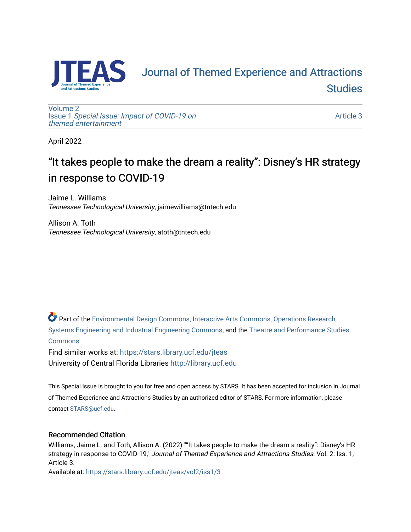

# **FAS** Journal of Themed Experience and Attractions **Studies**

[Volume 2](https://stars.library.ucf.edu/jteas/vol2) Issue 1 [Special Issue: Impact of COVID-19 on](https://stars.library.ucf.edu/jteas/vol2/iss1)  [themed entertainment](https://stars.library.ucf.edu/jteas/vol2/iss1) 

[Article 3](https://stars.library.ucf.edu/jteas/vol2/iss1/3) 

April 2022

## "It takes people to make the dream a reality": Disney's HR strategy in response to COVID-19

Jaime L. Williams Tennessee Technological University, jaimewilliams@tntech.edu

Allison A. Toth Tennessee Technological University, atoth@tntech.edu

Part of the [Environmental Design Commons,](http://network.bepress.com/hgg/discipline/777?utm_source=stars.library.ucf.edu%2Fjteas%2Fvol2%2Fiss1%2F3&utm_medium=PDF&utm_campaign=PDFCoverPages) [Interactive Arts Commons](http://network.bepress.com/hgg/discipline/1136?utm_source=stars.library.ucf.edu%2Fjteas%2Fvol2%2Fiss1%2F3&utm_medium=PDF&utm_campaign=PDFCoverPages), [Operations Research,](http://network.bepress.com/hgg/discipline/305?utm_source=stars.library.ucf.edu%2Fjteas%2Fvol2%2Fiss1%2F3&utm_medium=PDF&utm_campaign=PDFCoverPages)  [Systems Engineering and Industrial Engineering Commons](http://network.bepress.com/hgg/discipline/305?utm_source=stars.library.ucf.edu%2Fjteas%2Fvol2%2Fiss1%2F3&utm_medium=PDF&utm_campaign=PDFCoverPages), and the [Theatre and Performance Studies](http://network.bepress.com/hgg/discipline/552?utm_source=stars.library.ucf.edu%2Fjteas%2Fvol2%2Fiss1%2F3&utm_medium=PDF&utm_campaign=PDFCoverPages)  [Commons](http://network.bepress.com/hgg/discipline/552?utm_source=stars.library.ucf.edu%2Fjteas%2Fvol2%2Fiss1%2F3&utm_medium=PDF&utm_campaign=PDFCoverPages)

Find similar works at: <https://stars.library.ucf.edu/jteas> University of Central Florida Libraries [http://library.ucf.edu](http://library.ucf.edu/) 

This Special Issue is brought to you for free and open access by STARS. It has been accepted for inclusion in Journal of Themed Experience and Attractions Studies by an authorized editor of STARS. For more information, please contact [STARS@ucf.edu.](mailto:STARS@ucf.edu)

### Recommended Citation

Williams, Jaime L. and Toth, Allison A. (2022) ""It takes people to make the dream a reality": Disney's HR strategy in response to COVID-19," Journal of Themed Experience and Attractions Studies: Vol. 2: Iss. 1, Article 3.

Available at: [https://stars.library.ucf.edu/jteas/vol2/iss1/3](https://stars.library.ucf.edu/jteas/vol2/iss1/3?utm_source=stars.library.ucf.edu%2Fjteas%2Fvol2%2Fiss1%2F3&utm_medium=PDF&utm_campaign=PDFCoverPages)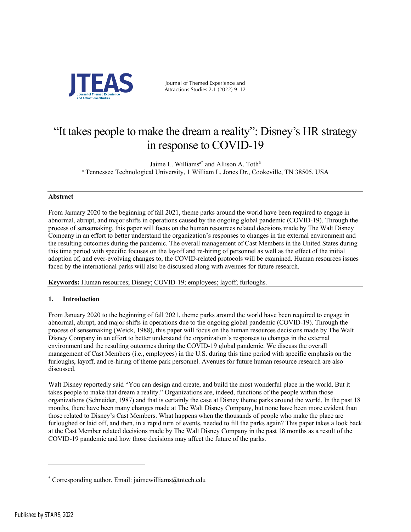

Journal of Themed Experience and Attractions Studies 2.1 (2022) 9–12

### "It takes people to make the dream a reality": Disney's HR strategy in response to COVID-19

Jaime L. Williams<sup>a\*</sup> and Allison A. Toth<sup>a</sup> <sup>a</sup> Tennessee Technological University, 1 William L. Jones Dr., Cookeville, TN 38505, USA

#### **Abstract**

From January 2020 to the beginning of fall 2021, theme parks around the world have been required to engage in abnormal, abrupt, and major shifts in operations caused by the ongoing global pandemic (COVID-19). Through the process of sensemaking, this paper will focus on the human resources related decisions made by The Walt Disney Company in an effort to better understand the organization's responses to changes in the external environment and the resulting outcomes during the pandemic. The overall management of Cast Members in the United States during this time period with specific focuses on the layoff and re-hiring of personnel as well as the effect of the initial adoption of, and ever-evolving changes to, the COVID-related protocols will be examined. Human resources issues faced by the international parks will also be discussed along with avenues for future research.

**Keywords:** Human resources; Disney; COVID-19; employees; layoff; furloughs.

#### **1. Introduction**

From January 2020 to the beginning of fall 2021, theme parks around the world have been required to engage in abnormal, abrupt, and major shifts in operations due to the ongoing global pandemic (COVID-19). Through the process of sensemaking (Weick, 1988), this paper will focus on the human resources decisions made by The Walt Disney Company in an effort to better understand the organization's responses to changes in the external environment and the resulting outcomes during the COVID-19 global pandemic. We discuss the overall management of Cast Members (i.e., employees) in the U.S. during this time period with specific emphasis on the furloughs, layoff, and re-hiring of theme park personnel. Avenues for future human resource research are also discussed.

Walt Disney reportedly said "You can design and create, and build the most wonderful place in the world. But it takes people to make that dream a reality." Organizations are, indeed, functions of the people within those organizations (Schneider, 1987) and that is certainly the case at Disney theme parks around the world. In the past 18 months, there have been many changes made at The Walt Disney Company, but none have been more evident than those related to Disney's Cast Members. What happens when the thousands of people who make the place are furloughed or laid off, and then, in a rapid turn of events, needed to fill the parks again? This paper takes a look back at the Cast Member related decisions made by The Walt Disney Company in the past 18 months as a result of the COVID-19 pandemic and how those decisions may affect the future of the parks.

<sup>\*</sup> Corresponding author. Email: jaimewilliams@tntech.edu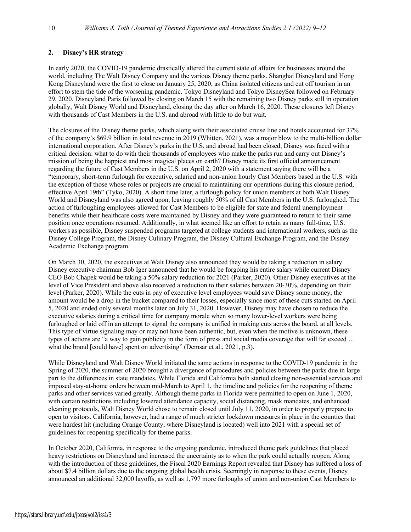#### **2. Disney's HR strategy**

In early 2020, the COVID-19 pandemic drastically altered the current state of affairs for businesses around the world, including The Walt Disney Company and the various Disney theme parks. Shanghai Disneyland and Hong Kong Disneyland were the first to close on January 25, 2020, as China isolated citizens and cut off tourism in an effort to stem the tide of the worsening pandemic. Tokyo Disneyland and Tokyo DisneySea followed on February 29, 2020. Disneyland Paris followed by closing on March 15 with the remaining two Disney parks still in operation globally, Walt Disney World and Disneyland, closing the day after on March 16, 2020. These closures left Disney with thousands of Cast Members in the U.S. and abroad with little to do but wait.

The closures of the Disney theme parks, which along with their associated cruise line and hotels accounted for 37% of the company's \$69.9 billion in total revenue in 2019 (Whitten, 2021), was a major blow to the multi-billion dollar international corporation. After Disney's parks in the U.S. and abroad had been closed, Disney was faced with a critical decision: what to do with their thousands of employees who make the parks run and carry out Disney's mission of being the happiest and most magical places on earth? Disney made its first official announcement regarding the future of Cast Members in the U.S. on April 2, 2020 with a statement saying there will be a "temporary, short-term furlough for executive, salaried and non-union hourly Cast Members based in the U.S. with the exception of those whose roles or projects are crucial to maintaining our operations during this closure period, effective April 19th" (Tyko, 2020). A short time later, a furlough policy for union members at both Walt Disney World and Disneyland was also agreed upon, leaving roughly 50% of all Cast Members in the U.S. furloughed. The action of furloughing employees allowed for Cast Members to be eligible for state and federal unemployment benefits while their healthcare costs were maintained by Disney and they were guaranteed to return to their same position once operations resumed. Additionally, in what seemed like an effort to retain as many full-time, U.S. workers as possible, Disney suspended programs targeted at college students and international workers, such as the Disney College Program, the Disney Culinary Program, the Disney Cultural Exchange Program, and the Disney Academic Exchange program.

On March 30, 2020, the executives at Walt Disney also announced they would be taking a reduction in salary. Disney executive chairman Bob Iger announced that he would be forgoing his entire salary while current Disney CEO Bob Chapek would be taking a 50% salary reduction for 2021 (Parker, 2020). Other Disney executives at the level of Vice President and above also received a reduction to their salaries between 20-30%, depending on their level (Parker, 2020). While the cuts in pay of executive level employees would save Disney some money, the amount would be a drop in the bucket compared to their losses, especially since most of these cuts started on April 5, 2020 and ended only several months later on July 31, 2020. However, Disney may have chosen to reduce the executive salaries during a critical time for company morale when so many lower-level workers were being furloughed or laid off in an attempt to signal the company is unified in making cuts across the board, at all levels. This type of virtue signaling may or may not have been authentic, but, even when the motive is unknown, these types of actions are "a way to gain publicity in the form of press and social media coverage that will far exceed … what the brand [could have] spent on advertising" (Demsar et al., 2021, p.3).

While Disneyland and Walt Disney World initiated the same actions in response to the COVID-19 pandemic in the Spring of 2020, the summer of 2020 brought a divergence of procedures and policies between the parks due in large part to the differences in state mandates. While Florida and California both started closing non-essential services and imposed stay-at-home orders between mid-March to April 1, the timeline and policies for the reopening of theme parks and other services varied greatly. Although theme parks in Florida were permitted to open on June 1, 2020, with certain restrictions including lowered attendance capacity, social distancing, mask mandates, and enhanced cleaning protocols, Walt Disney World chose to remain closed until July 11, 2020, in order to properly prepare to open to visitors. California, however, had a range of much stricter lockdown measures in place in the counties that were hardest hit (including Orange County, where Disneyland is located) well into 2021 with a special set of guidelines for reopening specifically for theme parks.

In October 2020, California, in response to the ongoing pandemic, introduced theme park guidelines that placed heavy restrictions on Disneyland and increased the uncertainty as to when the park could actually reopen. Along with the introduction of these guidelines, the Fiscal 2020 Earnings Report revealed that Disney has suffered a loss of about \$7.4 billion dollars due to the ongoing global health crisis. Seemingly in response to these events, Disney announced an additional 32,000 layoffs, as well as 1,797 more furloughs of union and non-union Cast Members to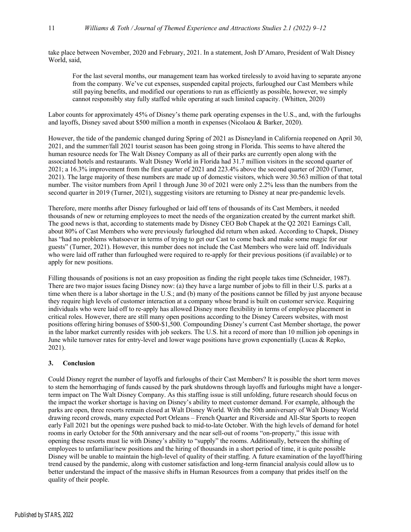take place between November, 2020 and February, 2021. In a statement, Josh D'Amaro, President of Walt Disney World, said,

For the last several months, our management team has worked tirelessly to avoid having to separate anyone from the company. We've cut expenses, suspended capital projects, furloughed our Cast Members while still paying benefits, and modified our operations to run as efficiently as possible, however, we simply cannot responsibly stay fully staffed while operating at such limited capacity. (Whitten, 2020)

Labor counts for approximately 45% of Disney's theme park operating expenses in the U.S., and, with the furloughs and layoffs, Disney saved about \$500 million a month in expenses (Nicolaou & Barker, 2020).

However, the tide of the pandemic changed during Spring of 2021 as Disneyland in California reopened on April 30, 2021, and the summer/fall 2021 tourist season has been going strong in Florida. This seems to have altered the human resource needs for The Walt Disney Company as all of their parks are currently open along with the associated hotels and restaurants. Walt Disney World in Florida had 31.7 million visitors in the second quarter of 2021; a 16.3% improvement from the first quarter of 2021 and 223.4% above the second quarter of 2020 (Turner, 2021). The large majority of these numbers are made up of domestic visitors, which were 30.563 million of that total number. The visitor numbers from April 1 through June 30 of 2021 were only 2.2% less than the numbers from the second quarter in 2019 (Turner, 2021), suggesting visitors are returning to Disney at near pre-pandemic levels.

Therefore, mere months after Disney furloughed or laid off tens of thousands of its Cast Members, it needed thousands of new or returning employees to meet the needs of the organization created by the current market shift. The good news is that, according to statements made by Disney CEO Bob Chapek at the Q2 2021 Earnings Call, about 80% of Cast Members who were previously furloughed did return when asked. According to Chapek, Disney has "had no problems whatsoever in terms of trying to get our Cast to come back and make some magic for our guests" (Turner, 2021). However, this number does not include the Cast Members who were laid off. Individuals who were laid off rather than furloughed were required to re-apply for their previous positions (if available) or to apply for new positions.

Filling thousands of positions is not an easy proposition as finding the right people takes time (Schneider, 1987). There are two major issues facing Disney now: (a) they have a large number of jobs to fill in their U.S. parks at a time when there is a labor shortage in the U.S.; and (b) many of the positions cannot be filled by just anyone because they require high levels of customer interaction at a company whose brand is built on customer service. Requiring individuals who were laid off to re-apply has allowed Disney more flexibility in terms of employee placement in critical roles. However, there are still many open positions according to the Disney Careers websites, with most positions offering hiring bonuses of \$500-\$1,500. Compounding Disney's current Cast Member shortage, the power in the labor market currently resides with job seekers. The U.S. hit a record of more than 10 million job openings in June while turnover rates for entry-level and lower wage positions have grown exponentially (Lucas & Repko, 2021).

#### **3. Conclusion**

Could Disney regret the number of layoffs and furloughs of their Cast Members? It is possible the short term moves to stem the hemorrhaging of funds caused by the park shutdowns through layoffs and furloughs might have a longerterm impact on The Walt Disney Company. As this staffing issue is still unfolding, future research should focus on the impact the worker shortage is having on Disney's ability to meet customer demand. For example, although the parks are open, three resorts remain closed at Walt Disney World. With the 50th anniversary of Walt Disney World drawing record crowds, many expected Port Orleans – French Quarter and Riverside and All-Star Sports to reopen early Fall 2021 but the openings were pushed back to mid-to-late October. With the high levels of demand for hotel rooms in early October for the 50th anniversary and the near sell-out of rooms "on-property," this issue with opening these resorts must lie with Disney's ability to "supply" the rooms. Additionally, between the shifting of employees to unfamiliar/new positions and the hiring of thousands in a short period of time, it is quite possible Disney will be unable to maintain the high-level of quality of their staffing. A future examination of the layoff/hiring trend caused by the pandemic, along with customer satisfaction and long-term financial analysis could allow us to better understand the impact of the massive shifts in Human Resources from a company that prides itself on the quality of their people.